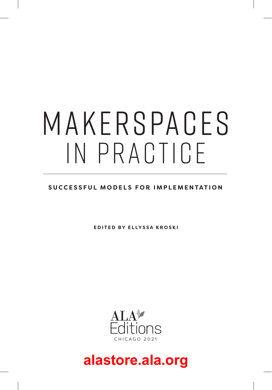# M A K E R S PA C ES IN PRACTICE

### **SUCCESSFUL MODELS FOR IMPLEMENTATION**

**EDITED BY ELLYSSA KROSKI**

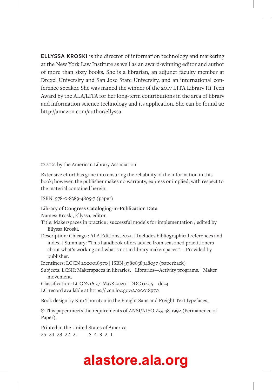**ELLYSSA KROSKI** is the director of information technology and marketing at the New York Law Institute as well as an award-winning editor and author of more than sixty books. She is a librarian, an adjunct faculty member at Drexel University and San Jose State University, and an international conference speaker. She was named the winner of the 2017 LITA Library Hi Tech Award by the ALA/LITA for her long-term contributions in the area of library and information science technology and its application. She can be found at: http://amazon.com/author/ellyssa.

© 2021 by the American Library Association

Extensive effort has gone into ensuring the reliability of the information in this book; however, the publisher makes no warranty, express or implied, with respect to the material contained herein.

ISBN: 978-0-8389-4805-7 (paper)

#### **Library of Congress Cataloging-in-Publication Data**

Names: Kroski, Ellyssa, editor.

Title: Makerspaces in practice : successful models for implementation / edited by Ellyssa Kroski.

Description: Chicago : ALA Editions, 2021. | Includes bibliographical references and index. | Summary: "This handbook offers advice from seasoned practitioners about what's working and what's not in library makerspaces"— Provided by publisher.

Identifiers: LCCN 2020018970 | ISBN 9780838948057 (paperback)

Subjects: LCSH: Makerspaces in libraries. | Libraries—Activity programs. | Maker movement.

Classification: LCC Z716.37 .M358 2020 | DDC 025.5—dc23

LC record available at https://lccn.loc.gov/2020018970

Book design by Kim Thornton in the Freight Sans and Freight Text typefaces.

 This paper meets the requirements of ANSI/NISO Z39.48-1992 (Permanence of Paper).

Printed in the United States of America 25 24 23 22 21 5 4 3 2 1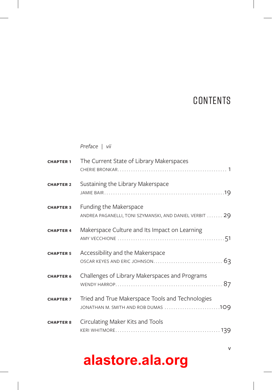### **CONTENTS**

*Preface | vii*

| <b>CHAPTER 1</b> | The Current State of Library Makerspaces                                                |  |
|------------------|-----------------------------------------------------------------------------------------|--|
| <b>CHAPTER 2</b> | Sustaining the Library Makerspace                                                       |  |
| <b>CHAPTER 3</b> | Funding the Makerspace<br>ANDREA PAGANELLI, TONI SZYMANSKI, AND DANIEL VERBIT  29       |  |
| <b>CHAPTER 4</b> | Makerspace Culture and Its Impact on Learning                                           |  |
| <b>CHAPTER 5</b> | Accessibility and the Makerspace                                                        |  |
| <b>CHAPTER 6</b> | Challenges of Library Makerspaces and Programs                                          |  |
| <b>CHAPTER 7</b> | Tried and True Makerspace Tools and Technologies<br>JONATHAN M. SMITH AND ROB DUMAS 109 |  |
| <b>CHAPTER 8</b> | Circulating Maker Kits and Tools                                                        |  |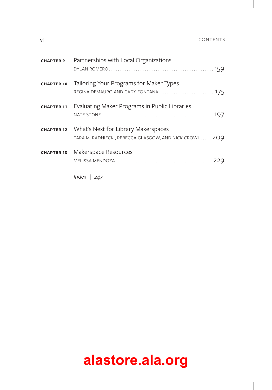| vi                |                                                                                               | CONTENTS |
|-------------------|-----------------------------------------------------------------------------------------------|----------|
| <b>CHAPTER 9</b>  | Partnerships with Local Organizations                                                         |          |
| <b>CHAPTER 10</b> | Tailoring Your Programs for Maker Types                                                       |          |
| <b>CHAPTER 11</b> | Evaluating Maker Programs in Public Libraries                                                 |          |
| <b>CHAPTER 12</b> | What's Next for Library Makerspaces<br>TARA M. RADNIECKI, REBECCA GLASGOW, AND NICK CROWL 209 |          |
| <b>CHAPTER 13</b> | Makerspace Resources                                                                          |          |
|                   | Index $\vert$ 247                                                                             |          |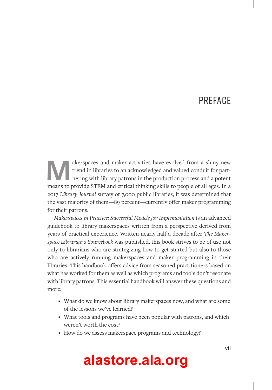### **PRFFACE**

akerspaces and maker activities have evolved from a shiny new<br>trend in libraries to an acknowledged and valued conduit for part-<br>nering with library patrons in the production process and a potent<br>means to provide STFM and trend in libraries to an acknowledged and valued conduit for partnering with library patrons in the production process and a potent means to provide STEM and critical thinking skills to people of all ages. In a 2017 *Library Journal* survey of 7,000 public libraries, it was determined that the vast majority of them—89 percent—currently offer maker programming for their patrons.

*Makerspaces in Practice: Successful Models for Implementation* is an advanced guidebook to library makerspaces written from a perspective derived from years of practical experience. Written nearly half a decade after *The Makerspace Librarian's Sourcebook* was published, this book strives to be of use not only to librarians who are strategizing how to get started but also to those who are actively running makerspaces and maker programming in their libraries. This handbook offers advice from seasoned practitioners based on what has worked for them as well as which programs and tools don't resonate with library patrons. This essential handbook will answer these questions and more:

- What do we know about library makerspaces now, and what are some of the lessons we've learned?
- What tools and programs have been popular with patrons, and which weren't worth the cost?
- How do we assess makerspace programs and technology?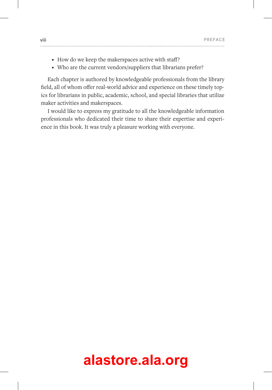- How do we keep the makerspaces active with staff?
- Who are the current vendors/suppliers that librarians prefer?

Each chapter is authored by knowledgeable professionals from the library field, all of whom offer real-world advice and experience on these timely topics for librarians in public, academic, school, and special libraries that utilize maker activities and makerspaces.

I would like to express my gratitude to all the knowledgeable information professionals who dedicated their time to share their expertise and experience in this book. It was truly a pleasure working with everyone.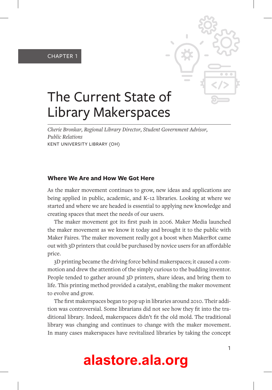CHAPTER 1



### The Current State of Library Makerspaces

*Cherie Bronkar, Regional Library Director, Student Government Advisor, Public Relations*  KENT UNIVERSITY LIBRARY (OH)

### **Where We Are and How We Got Here**

As the maker movement continues to grow, new ideas and applications are being applied in public, academic, and K–12 libraries. Looking at where we started and where we are headed is essential to applying new knowledge and creating spaces that meet the needs of our users.

The maker movement got its first push in 2006. Maker Media launched the maker movement as we know it today and brought it to the public with Maker Faires. The maker movement really got a boost when MakerBot came out with 3D printers that could be purchased by novice users for an affordable price.

3D printing became the driving force behind makerspaces; it caused a commotion and drew the attention of the simply curious to the budding inventor. People tended to gather around 3D printers, share ideas, and bring them to life. This printing method provided a catalyst, enabling the maker movement to evolve and grow.

The first makerspaces began to pop up in libraries around 2010. Their addition was controversial. Some librarians did not see how they fit into the traditional library. Indeed, makerspaces didn't fit the old mold. The traditional library was changing and continues to change with the maker movement. In many cases makerspaces have revitalized libraries by taking the concept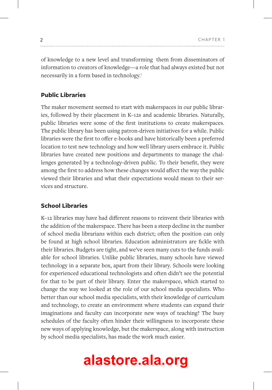of knowledge to a new level and transforming them from disseminators of information to creators of knowledge—a role that had always existed but not necessarily in a form based in technology.<sup>1</sup>

### **Public Libraries**

The maker movement seemed to start with makerspaces in our public libraries, followed by their placement in K–12s and academic libraries. Naturally, public libraries were some of the first institutions to create makerspaces. The public library has been using patron-driven initiatives for a while. Public libraries were the first to offer e-books and have historically been a preferred location to test new technology and how well library users embrace it. Public libraries have created new positions and departments to manage the challenges generated by a technology-driven public. To their benefit, they were among the first to address how these changes would affect the way the public viewed their libraries and what their expectations would mean to their services and structure.

### **School Libraries**

K–12 libraries may have had different reasons to reinvent their libraries with the addition of the makerspace. There has been a steep decline in the number of school media librarians within each district; often the position can only be found at high school libraries. Education administrators are fickle with their libraries. Budgets are tight, and we've seen many cuts to the funds available for school libraries. Unlike public libraries, many schools have viewed technology in a separate box, apart from their library. Schools were looking for experienced educational technologists and often didn't see the potential for that to be part of their library. Enter the makerspace, which started to change the way we looked at the role of our school media specialists. Who better than our school media specialists, with their knowledge of curriculum and technology, to create an environment where students can expand their imaginations and faculty can incorporate new ways of teaching? The busy schedules of the faculty often hinder their willingness to incorporate these new ways of applying knowledge, but the makerspace, along with instruction by school media specialists, has made the work much easier.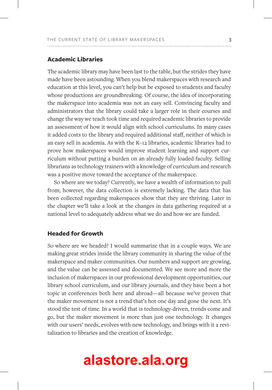#### **Academic Libraries**

The academic library may have been last to the table, but the strides they have made have been astounding. When you blend makerspaces with research and education at this level, you can't help but be exposed to students and faculty whose productions are groundbreaking. Of course, the idea of incorporating the makerspace into academia was not an easy sell. Convincing faculty and administrators that the library could take a larger role in their courses and change the way we teach took time and required academic libraries to provide an assessment of how it would align with school curriculums. In many cases it added costs to the library and required additional staff, neither of which is an easy sell in academia. As with the K–12 libraries, academic libraries had to prove how makerspaces would improve student learning and support curriculum without putting a burden on an already fully loaded faculty. Selling librarians as technology trainers with a knowledge of curriculum and research was a positive move toward the acceptance of the makerspace.

So where are we today? Currently, we have a wealth of information to pull from; however, the data collection is extremely lacking. The data that has been collected regarding makerspaces show that they are thriving. Later in the chapter we'll take a look at the changes in data gathering required at a national level to adequately address what we do and how we are funded.

#### **Headed for Growth**

So where are we headed? I would summarize that in a couple ways. We are making great strides inside the library community in sharing the value of the makerspace and maker communities. Our numbers and support are growing, and the value can be assessed and documented. We see more and more the inclusion of makerspaces in our professional development opportunities, our library school curriculum, and our library journals, and they have been a hot topic at conferences both here and abroad—all because we've proven that the maker movement is not a trend that's hot one day and gone the next. It's stood the test of time. In a world that is technology-driven, trends come and go, but the maker movement is more than just one technology. It changes with our users' needs, evolves with new technology, and brings with it a revitalization to libraries and the creation of knowledge.

###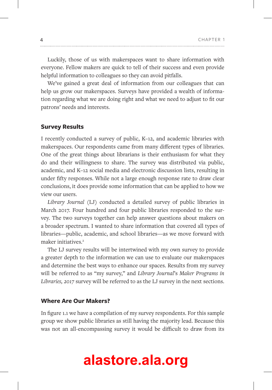Luckily, those of us with makerspaces want to share information with everyone. Fellow makers are quick to tell of their success and even provide helpful information to colleagues so they can avoid pitfalls.

We've gained a great deal of information from our colleagues that can help us grow our makerspaces. Surveys have provided a wealth of information regarding what we are doing right and what we need to adjust to fit our patrons' needs and interests.

#### **Survey Results**

I recently conducted a survey of public, K–12, and academic libraries with makerspaces. Our respondents came from many different types of libraries. One of the great things about librarians is their enthusiasm for what they do and their willingness to share. The survey was distributed via public, academic, and K–12 social media and electronic discussion lists, resulting in under fifty responses. While not a large enough response rate to draw clear conclusions, it does provide some information that can be applied to how we view our users.

*Library Journal* (LJ) conducted a detailed survey of public libraries in March 2017. Four hundred and four public libraries responded to the survey. The two surveys together can help answer questions about makers on a broader spectrum. I wanted to share information that covered all types of libraries—public, academic, and school libraries—as we move forward with maker initiatives.<sup>2</sup>

The LJ survey results will be intertwined with my own survey to provide a greater depth to the information we can use to evaluate our makerspaces and determine the best ways to enhance our spaces. Results from my survey will be referred to as "my survey," and *Library Journal*'s *Maker Programs in Libraries, 2017* survey will be referred to as the LJ survey in the next sections.

#### **Where Are Our Makers?**

In figure 1.1 we have a compilation of my survey respondents. For this sample group we show public libraries as still having the majority lead. Because this was not an all-encompassing survey it would be difficult to draw from its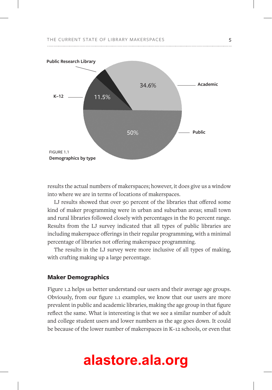

results the actual numbers of makerspaces; however, it does give us a window into where we are in terms of locations of makerspaces.

LJ results showed that over 90 percent of the libraries that offered some kind of maker programming were in urban and suburban areas; small town and rural libraries followed closely with percentages in the 80 percent range. Results from the LJ survey indicated that all types of public libraries are including makerspace offerings in their regular programming, with a minimal percentage of libraries not offering makerspace programming.

The results in the LJ survey were more inclusive of all types of making, with crafting making up a large percentage.

#### **Maker Demographics**

Figure 1.2 helps us better understand our users and their average age groups. Obviously, from our figure 1.1 examples, we know that our users are more prevalent in public and academic libraries, making the age group in that figure reflect the same. What is interesting is that we see a similar number of adult and college student users and lower numbers as the age goes down. It could be because of the lower number of makerspaces in K–12 schools, or even that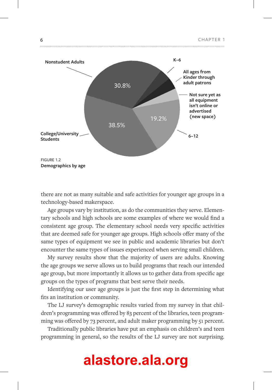

there are not as many suitable and safe activities for younger age groups in a technology-based makerspace.

Age groups vary by institution, as do the communities they serve. Elementary schools and high schools are some examples of where we would find a consistent age group. The elementary school needs very specific activities that are deemed safe for younger age groups. High schools offer many of the same types of equipment we see in public and academic libraries but don't encounter the same types of issues experienced when serving small children.

My survey results show that the majority of users are adults. Knowing the age groups we serve allows us to build programs that reach our intended age group, but more importantly it allows us to gather data from specific age groups on the types of programs that best serve their needs.

Identifying our user age groups is just the first step in determining what fits an institution or community.

The LJ survey's demographic results varied from my survey in that children's programming was offered by 83 percent of the libraries, teen programming was offered by 73 percent, and adult maker programming by 51 percent.

Traditionally public libraries have put an emphasis on children's and teen programming in general, so the results of the LJ survey are not surprising.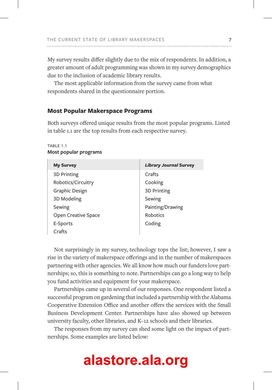My survey results differ slightly due to the mix of respondents. In addition, a greater amount of adult programming was shown in my survey demographics due to the inclusion of academic library results.

The most applicable information from the survey came from what respondents shared in the questionnaire portion.

### **Most Popular Makerspace Programs**

Both surveys offered unique results from the most popular programs. Listed in table 1.1 are the top results from each respective survey.

TABLE 1.1 **Most popular programs**

| <b>My Survey</b>    | <b>Library Journal Survey</b> |
|---------------------|-------------------------------|
| 3D Printing         | Crafts                        |
| Robotics/Circuitry  | Cooking                       |
| Graphic Design      | 3D Printing                   |
| 3D Modeling         | Sewing                        |
| Sewing              | Painting/Drawing              |
| Open Creative Space | Robotics                      |
| E-Sports            | Coding                        |
| Crafts              |                               |

Not surprisingly in my survey, technology tops the list; however, I saw a rise in the variety of makerspace offerings and in the number of makerspaces partnering with other agencies. We all know how much our funders love partnerships; so, this is something to note. Partnerships can go a long way to help you fund activities and equipment for your makerspace.

Partnerships came up in several of our responses. One respondent listed a successful program on gardening that included a partnership with the Alabama Cooperative Extension Office and another offers the services with the Small Business Development Center. Partnerships have also showed up between university faculty, other libraries, and K–12 schools and their libraries.

The responses from my survey can shed some light on the impact of partnerships. Some examples are listed below: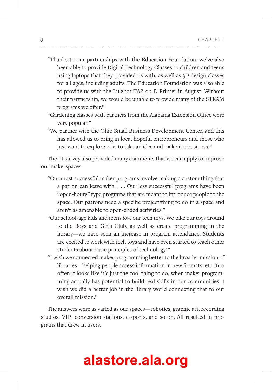- "Thanks to our partnerships with the Education Foundation, we've also been able to provide Digital Technology Classes to children and teens using laptops that they provided us with, as well as 3D design classes for all ages, including adults. The Education Foundation was also able to provide us with the Lulzbot TAZ 5 3-D Printer in August. Without their partnership, we would be unable to provide many of the STEAM programs we offer."
- "Gardening classes with partners from the Alabama Extension Office were very popular."
- "We partner with the Ohio Small Business Development Center, and this has allowed us to bring in local hopeful entrepreneurs and those who just want to explore how to take an idea and make it a business."

The LJ survey also provided many comments that we can apply to improve our makerspaces.

- "Our most successful maker programs involve making a custom thing that a patron can leave with. . . . Our less successful programs have been "open-hours" type programs that are meant to introduce people to the space. Our patrons need a specific project/thing to do in a space and aren't as amenable to open-ended activities."
- "Our school-age kids and teens *love* our tech toys. We take our toys around to the Boys and Girls Club, as well as create programming in the library—we have seen an increase in program attendance. Students are excited to work with tech toys and have even started to teach other students about basic principles of technology!"
- "I wish we connected maker programming better to the broader mission of libraries—helping people access information in new formats, etc. Too often it looks like it's just the cool thing to do, when maker programming actually has potential to build real skills in our communities. I wish we did a better job in the library world connecting that to our overall mission."

The answers were as varied as our spaces—robotics, graphic art, recording studios, VHS conversion stations, e-sports, and so on. All resulted in programs that drew in users.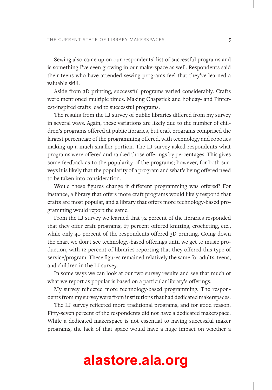Sewing also came up on our respondents' list of successful programs and is something I've seen growing in our makerspace as well. Respondents said their teens who have attended sewing programs feel that they've learned a valuable skill.

Aside from 3D printing, successful programs varied considerably. Crafts were mentioned multiple times. Making Chapstick and holiday- and Pinterest-inspired crafts lead to successful programs.

The results from the LJ survey of public libraries differed from my survey in several ways. Again, these variations are likely due to the number of children's programs offered at public libraries, but craft programs comprised the largest percentage of the programming offered, with technology and robotics making up a much smaller portion. The LJ survey asked respondents what programs were offered and ranked those offerings by percentages. This gives some feedback as to the popularity of the programs; however, for both surveys it is likely that the popularity of a program and what's being offered need to be taken into consideration.

Would these figures change if different programming was offered? For instance, a library that offers more craft programs would likely respond that crafts are most popular, and a library that offers more technology-based programming would report the same.

From the LJ survey we learned that 72 percent of the libraries responded that they offer craft programs; 67 percent offered knitting, crocheting, etc., while only 40 percent of the respondents offered 3D printing. Going down the chart we don't see technology-based offerings until we get to music production, with 12 percent of libraries reporting that they offered this type of service/program. These figures remained relatively the same for adults, teens, and children in the LJ survey.

In some ways we can look at our two survey results and see that much of what we report as popular is based on a particular library's offerings.

My survey reflected more technology-based programming. The respondents from my survey were from institutions that had dedicated makerspaces.

The LJ survey reflected more traditional programs, and for good reason. Fifty-seven percent of the respondents did not have a dedicated makerspace. While a dedicated makerspace is not essential to having successful maker programs, the lack of that space would have a huge impact on whether a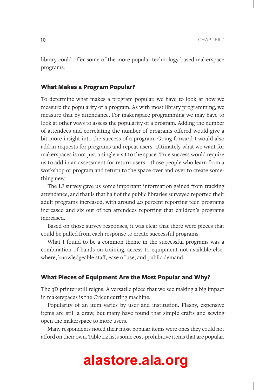library could offer some of the more popular technology-based makerspace programs.

#### **What Makes a Program Popular?**

To determine what makes a program popular, we have to look at how we measure the popularity of a program. As with most library programming, we measure that by attendance. For makerspace programming we may have to look at other ways to assess the popularity of a program. Adding the number of attendees and correlating the number of programs offered would give a bit more insight into the success of a program. Going forward I would also add in requests for programs and repeat users. Ultimately what we want for makerspaces is not just a single visit to the space. True success would require us to add in an assessment for return users—those people who learn from a workshop or program and return to the space over and over to create something new.

The LJ survey gave us some important information gained from tracking attendance, and that is that half of the public libraries surveyed reported their adult programs increased, with around 40 percent reporting teen programs increased and six out of ten attendees reporting that children's programs increased.

Based on those survey responses, it was clear that there were pieces that could be pulled from each response to create successful programs.

What I found to be a common theme in the successful programs was a combination of hands-on training, access to equipment not available elsewhere, knowledgeable staff, ease of use, and public demand.

#### **What Pieces of Equipment Are the Most Popular and Why?**

The 3D printer still reigns. A versatile piece that we see making a big impact in makerspaces is the Cricut cutting machine.

Popularity of an item varies by user and institution. Flashy, expensive items are still a draw, but many have found that simple crafts and sewing open the makerspace to more users.

Many respondents noted their most popular items were ones they could not afford on their own. Table 1.2 lists some cost-prohibitive items that are popular.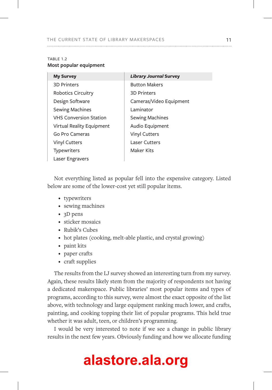#### TABLE 1.2 **Most popular equipment**

| <b>My Survey</b>              | <b>Library Journal Survey</b> |
|-------------------------------|-------------------------------|
| <b>3D Printers</b>            | <b>Button Makers</b>          |
| <b>Robotics Circuitry</b>     | <b>3D Printers</b>            |
| Design Software               | Cameras/Video Equipment       |
| Sewing Machines               | Laminator                     |
| <b>VHS Conversion Station</b> | <b>Sewing Machines</b>        |
| Virtual Reality Equipment     | Audio Equipment               |
| Go Pro Cameras                | <b>Vinyl Cutters</b>          |
| <b>Vinyl Cutters</b>          | <b>Laser Cutters</b>          |
| <b>Typewriters</b>            | Maker Kits                    |
| Laser Engravers               |                               |

Not everything listed as popular fell into the expensive category. Listed below are some of the lower-cost yet still popular items.

- typewriters
- sewing machines
- 3D pens
- sticker mosaics
- Rubik's Cubes
- hot plates (cooking, melt-able plastic, and crystal growing)
- paint kits
- paper crafts
- craft supplies

The results from the LJ survey showed an interesting turn from my survey. Again, these results likely stem from the majority of respondents not having a dedicated makerspace. Public libraries' most popular items and types of programs, according to this survey, were almost the exact opposite of the list above, with technology and large equipment ranking much lower, and crafts, painting, and cooking topping their list of popular programs. This held true whether it was adult, teen, or children's programming.

I would be very interested to note if we see a change in public library results in the next few years. Obviously funding and how we allocate funding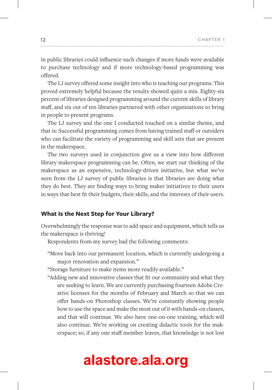in public libraries could influence such changes if more funds were available to purchase technology and if more technology-based programming was offered.

The LJ survey offered some insight into who is teaching our programs. This proved extremely helpful because the results showed quite a mix. Eighty-six percent of libraries designed programming around the current skills of library staff, and six out of ten libraries partnered with other organizations to bring in people to present programs.

The LJ survey and the one I conducted touched on a similar theme, and that is: Successful programming comes from having trained staff or outsiders who can facilitate the variety of programming and skill sets that are present in the makerspace.

The two surveys used in conjunction give us a view into how different library makerspace programming can be. Often, we start out thinking of the makerspace as an expensive, technology-driven initiative, but what we've seen from the LJ survey of public libraries is that libraries are doing what they do best. They are finding ways to bring maker initiatives to their users in ways that best fit their budgets, their skills, and the interests of their users.

### **What Is the Next Step for Your Library?**

Overwhelmingly the response was to add space and equipment, which tells us the makerspace is thriving!

Respondents from my survey had the following comments:

"Move back into our permanent location, which is currently undergoing a major renovation and expansion."

"Storage furniture to make items more readily available."

"Adding new and innovative classes that fit our community and what they are seeking to learn. We are currently purchasing fourteen Adobe Creative licenses for the months of February and March so that we can offer hands-on Photoshop classes. We're constantly showing people how to use the space and make the most out of it with hands-on classes, and that will continue. We also have one-on-one training, which will also continue. We're working on creating didactic tools for the makerspace; so, if any one staff member leaves, that knowledge is not lost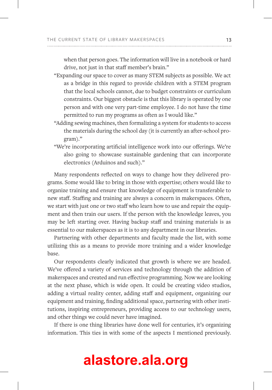when that person goes. The information will live in a notebook or hard drive, not just in that staff member's brain."

- "Expanding our space to cover as many STEM subjects as possible. We act as a bridge in this regard to provide children with a STEM program that the local schools cannot, due to budget constraints or curriculum constraints. Our biggest obstacle is that this library is operated by one person and with one very part-time employee. I do not have the time permitted to run my programs as often as I would like."
- "Adding sewing machines, then formalizing a system for students to access the materials during the school day (it is currently an after-school program)."
- "We're incorporating artificial intelligence work into our offerings. We're also going to showcase sustainable gardening that can incorporate electronics (Arduinos and such)."

Many respondents reflected on ways to change how they delivered programs. Some would like to bring in those with expertise; others would like to organize training and ensure that knowledge of equipment is transferable to new staff. Staffing and training are always a concern in makerspaces. Often, we start with just one or two staff who learn how to use and repair the equipment and then train our users. If the person with the knowledge leaves, you may be left starting over. Having backup staff and training materials is as essential to our makerspaces as it is to any department in our libraries.

Partnering with other departments and faculty made the list, with some utilizing this as a means to provide more training and a wider knowledge base.

Our respondents clearly indicated that growth is where we are headed. We've offered a variety of services and technology through the addition of makerspaces and created and run effective programming. Now we are looking at the next phase, which is wide open. It could be creating video studios, adding a virtual reality center, adding staff and equipment, organizing our equipment and training, finding additional space, partnering with other institutions, inspiring entrepreneurs, providing access to our technology users, and other things we could never have imagined.

If there is one thing libraries have done well for centuries, it's organizing information. This ties in with some of the aspects I mentioned previously.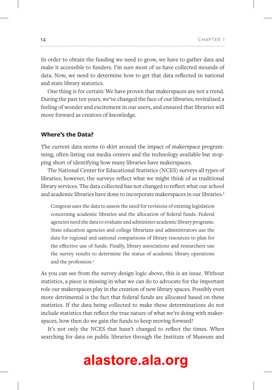In order to obtain the funding we need to grow, we have to gather data and make it accessible to funders. I'm sure most of us have collected mounds of data. Now, we need to determine how to get that data reflected in national and state library statistics.

One thing is for certain: We have proven that makerspaces are not a trend. During the past ten years, we've changed the face of our libraries, revitalized a feeling of wonder and excitement in our users, and ensured that libraries will move forward as creators of knowledge.

### **Where's the Data?**

The current data seems to skirt around the impact of makerspace programming, often listing out media centers and the technology available but stopping short of identifying how many libraries have makerspaces.

The National Center for Educational Statistics (NCES) surveys all types of libraries; however, the surveys reflect what we might think of as traditional library services. The data collected has not changed to reflect what our school and academic libraries have done to incorporate makerspaces in our libraries.3

Congress uses the data to assess the need for revisions of existing legislation concerning academic libraries and the allocation of federal funds. Federal agencies need the data to evaluate and administer academic library programs. State education agencies and college librarians and administrators use the data for regional and national comparisons of library resources to plan for the effective use of funds. Finally, library associations and researchers use the survey results to determine the status of academic library operations and the profession.4

As you can see from the survey design logic above, this is an issue. Without statistics, a piece is missing in what we can do to advocate for the important role our makerspaces play in the creation of new library spaces. Possibly even more detrimental is the fact that federal funds are allocated based on these statistics. If the data being collected to make these determinations do not include statistics that reflect the true nature of what we're doing with makerspaces, how then do we gain the funds to keep moving forward?

It's not only the NCES that hasn't changed to reflect the times. When searching for data on public libraries through the Institute of Museum and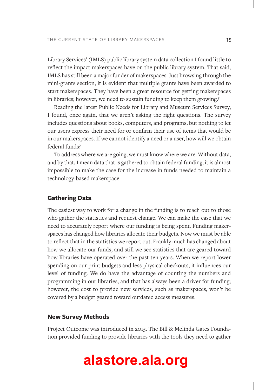Library Services' (IMLS) public library system data collection I found little to reflect the impact makerspaces have on the public library system. That said, IMLS has still been a major funder of makerspaces. Just browsing through the mini-grants section, it is evident that multiple grants have been awarded to start makerspaces. They have been a great resource for getting makerspaces in libraries; however, we need to sustain funding to keep them growing.<sup>5</sup>

Reading the latest Public Needs for Library and Museum Services Survey, I found, once again, that we aren't asking the right questions. The survey includes questions about books, computers, and programs, but nothing to let our users express their need for or confirm their use of items that would be in our makerspaces. If we cannot identify a need or a user, how will we obtain federal funds?

To address where we are going, we must know where we are. Without data, and by that, I mean data that is gathered to obtain federal funding, it is almost impossible to make the case for the increase in funds needed to maintain a technology-based makerspace.

### **Gathering Data**

The easiest way to work for a change in the funding is to reach out to those who gather the statistics and request change. We can make the case that we need to accurately report where our funding is being spent. Funding makerspaces has changed how libraries allocate their budgets. Now we must be able to reflect that in the statistics we report out. Frankly much has changed about how we allocate our funds, and still we see statistics that are geared toward how libraries have operated over the past ten years. When we report lower spending on our print budgets and less physical checkouts, it influences our level of funding. We do have the advantage of counting the numbers and programming in our libraries, and that has always been a driver for funding; however, the cost to provide new services, such as makerspaces, won't be covered by a budget geared toward outdated access measures.

#### **New Survey Methods**

Project Outcome was introduced in 2015. The Bill & Melinda Gates Foundation provided funding to provide libraries with the tools they need to gather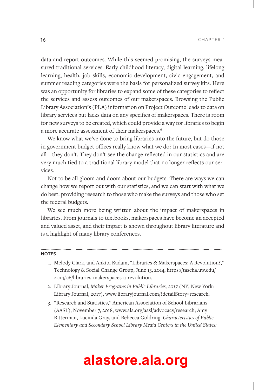data and report outcomes. While this seemed promising, the surveys measured traditional services. Early childhood literacy, digital learning, lifelong learning, health, job skills, economic development, civic engagement, and summer reading categories were the basis for personalized survey kits. Here was an opportunity for libraries to expand some of these categories to reflect the services and assess outcomes of our makerspaces. Browsing the Public Library Association's (PLA) information on Project Outcome leads to data on library services but lacks data on any specifics of makerspaces. There is room for new surveys to be created, which could provide a way for libraries to begin a more accurate assessment of their makerspaces.<sup>6</sup>

We know what we've done to bring libraries into the future, but do those in government budget offices really know what we do? In most cases—if not all—they don't. They don't see the change reflected in our statistics and are very much tied to a traditional library model that no longer reflects our services.

Not to be all gloom and doom about our budgets. There are ways we can change how we report out with our statistics, and we can start with what we do best: providing research to those who make the surveys and those who set the federal budgets.

We see much more being written about the impact of makerspaces in libraries. From journals to textbooks, makerspaces have become an accepted and valued asset, and their impact is shown throughout library literature and is a highlight of many library conferences.

#### **NOTES**

- 1. Melody Clark, and Ankita Kadam, "Libraries & Makerspaces: A Revolution?," Technology & Social Change Group, June 13, 2014, https://tascha.uw.edu/ 2014/06/libraries-makerspaces-a-revolution.
- 2. Library Journal, *Maker Programs in Public Libraries, 2017* (NY, New York: Library Journal, 2017), www.libraryjournal.com/?detailStory=research.
- 3. "Research and Statistics," American Association of School Librarians (AASL), November 7, 2018, www.ala.org/aasl/advocacy/research; Amy Bitterman, Lucinda Gray, and Rebecca Goldring. *Characteristics of Public Elementary and Secondary School Library Media Centers in the United States:*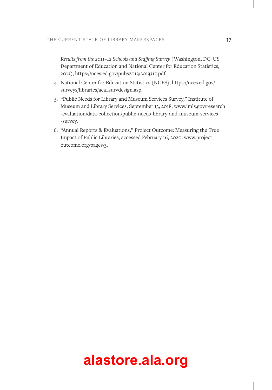*Results from the 2011–12 Schools and Staffing Survey* (Washington, DC: US Department of Education and National Center for Education Statistics, 2013), https://nces.ed.gov/pubs2013/2013315.pdf.

- 4. National Center for Education Statistics (NCES), https://nces.ed.gov/ surveys/libraries/aca\_survdesign.asp.
- 5. "Public Needs for Library and Museum Services Survey," Institute of Museum and Library Services, September 13, 2018, www.imls.gov/research -evaluation/data-collection/public-needs-library-and-museum-services -survey.
- 6. "Annual Reports & Evaluations," Project Outcome: Measuring the True Impact of Public Libraries, accessed February 16, 2020, www.project outcome.org/pages/3.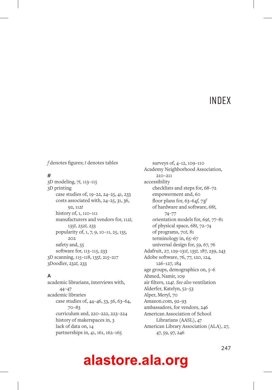### **INDEX**

*f* denotes figures; *t* denotes tables

#### **#**

3D modeling, 7*t,* 113–115 3D printing case studies of, 19–22, 24–25, 41, 233 costs associated with, 24–25, 31, 36, 92, 112*t* history of, 1, 110–111 manufacturers and vendors for, 112*t,* 135*t,* 232*t,* 233 popularity of, 1, 7, 9, 10–11, 25, 135, 202 safety and, 55 software for, 113–115, 233 3D scanning, 115–118, 135*t,* 215–217 3Doodler, 232*t,* 233

### **A**

academic librarians, interviews with, 44–47 academic libraries case studies of, 44–46, 53, 56, 63–64, 70–83 curriculum and, 220–222, 223–224 history of makerspaces in, 3 lack of data on, 14 partnerships in, 41, 161, 162–165

surveys of, 4–12, 109–110 Academy Neighborhood Association, 210–211 accessibility checklists and steps for, 68–72 empowerment and, 60 floor plans for, 63–64*f,* 73*f* of hardware and software, 68*t,* 74–77 orientation models for, 69*t,* 77–81 of physical space, 68*t,* 72–74 of programs, 70*t,* 81 terminology in, 65–67 universal design for, 59, 67, 76 Adafruit, 27, 129–131*t,* 135*t,* 187, 239, 243 Adobe software, 76, 77, 120, 124, 126–127, 184 age groups, demographics on, 5–6 Ahmed, Namir, 109 air filters, 124*t*. *See also* ventilation Alderfer, Katelyn, 52–53 Alper, Meryl, 70 Amazon.com, 92–93 ambassadors, for vendors, 246 American Association of School Librarians (AASL), 47 American Library Association (ALA), 27, 47, 59, 97, 246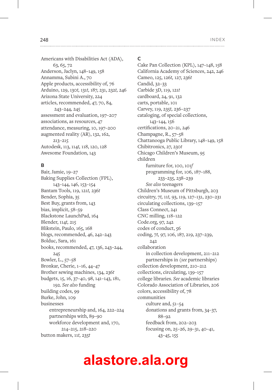Americans with Disabilities Act (ADA), 63, 65, 72 Anderson, Jaclyn, 148–149, 158 Annamma, Subini A., 70 Apple products, accessibility of, 76 Arduino, 129, 130*t,* 131*t,* 187, 231, 232*t,* 246 Arizona State University, 224 articles, recommended, 47, 70, 84, 243–244, 245 assessment and evaluation, 197–207 associations, as resources, 47 attendance, measuring, 10, 197–200 augmented reality (AR), 132, 162, 213–215 Autodesk, 113, 114*t,* 118, 120, 128 Awesome Foundation, 143

#### **B**

Bair, Jamie, 19–27 Baking Supplies Collection (FPL), 143–144, 146, 153–154 Bantam Tools, 119, 121*t,* 236*t* Bender, Sophia, 35 Best Buy, grants from, 143 bias, implicit, 58–59 Blackstone LaunchPad, 164 Blender, 114*t,* 215 Blikstein, Paulo, 165, 168 blogs, recommended, 46, 242–243 Bolduc, Sara, 161 books, recommended, 47, 136, 243–244, 245 Bowler, L., 57–58 Bronkar, Cherie, 1–16, 44–47 Brother sewing machines, 134, 236*t* budgets, 15, 16, 37–40, 98, 141–143, 181, 192. *See also* funding building codes, 99 Burke, John, 109 businesses entrepreneurship and, 164, 222–224 partnerships with, 89–90 workforce development and, 170, 214–215, 218–220 button makers, 11*t,* 235*t*

#### **C**

Cake Pan Collection (KPL), 147–148, 158 California Academy of Sciences, 242, 246 Cameo, 125, 126*t,* 127, 236*t* Candid, 32–33 Carbide 3D, 119, 121*t* cardboard, 24, 91, 132 carts, portable, 101 Carvey, 119, 235*t,* 236–237 cataloging, of special collections, 143–144, 156 certifications, 20–21, 246 Champagne, R., 57–58 Chattanooga Public Library, 148–149, 158 Chibitronics, 27, 230*t* Chicago Children's Museum, 95 children furniture for, 100, 101*f* programming for, 106, 187–188, 233–235, 238–239 *See also* teenagers Children's Museum of Pittsburgh, 203 circuitry, 7*t,* 11*t,* 93, 119, 127–131, 230–231 circulating collections, 139–157 Class Connect, 241 CNC milling, 118–122 Code.org, 97, 242 codes of conduct, 56 coding, 7*t,* 97, 106, 187, 219, 237–239, 242 collaboration in collection development, 211–212 partnerships in (*see* partnerships) collection development, 210–212 collections, circulating, 139–157 college libraries. *See* academic libraries Colorado Association of Libraries, 206 colors, accessibility of, 78 communities culture and, 51–54 donations and grants from, 34–37, 88–92 feedback from, 202–203 focusing on, 25–26, 29–31, 40–41, 43–45, 155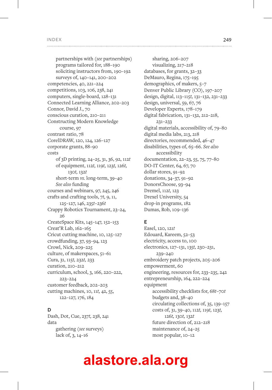partnerships with (*see* partnerships) programs tailored for, 188–190 soliciting instructors from, 190–192 surveys of, 140–141, 200–202 competencies, 40, 221–224 competitions, 103, 106, 238, 241 computers, single-board, 128–131 Connected Learning Alliance, 202–203 Connor, David J., 70 conscious curation, 210–211 Constructing Modern Knowledge course, 97 contrast ratio, 78 CorelDRAW, 120, 124, 126–127 corporate grants, 88–90 costs of 3D printing, 24–25, 31, 36, 92, 112*t* of equipment, 112*t,* 119*t,* 123*t,* 126*t,* 130*t,* 132*t* short-term *vs.* long-term, 39–40 *See also* funding courses and webinars, 97, 245, 246 crafts and crafting tools, 7*t,* 9, 11, 125–127, 146, 235*t*–236*t* Crappy Robotics Tournament, 23–24, 26 CreateSpace Kits, 145–147, 152–153 Creat'R Lab, 162–165 Cricut cutting machine, 10, 125–127 crowdfunding, 37, 93–94, 123 Crowl, Nick, 209–225 culture, of makerspaces, 51–61 Cura, 31, 115*t,* 232*t,* 233 curation, 210–212 curriculum, school, 3, 166, 220–222, 223–224 customer feedback, 202–203 cutting machines, 10, 11*t,* 42, 55, 122–127, 176, 184

#### **D**

Dash, Dot, Cue, 237*t,* 238, 241 data gathering (*see* surveys) lack of, 3, 14–16

sharing, 206–207 visualizing, 217–218 databases, for grants, 32–33 DeMauro, Regina, 175–195 demographics, of makers, 5–7 Denver Public Library (CO), 197–207 design, digital, 113–115*t,* 131–132, 231–233 design, universal, 59, 67, 76 Developer Experts, 178–179 digital fabrication, 131–132, 212–218, 231–233 digital materials, accessibility of, 79–80 digital media labs, 213, 218 directories, recommended, 46–47 disabilities, types of, 65–66. *See also* accessibility documentation, 22–23, 55, 75, 77–80 DO-IT Center, 64, 67, 70 dollar stores, 91–92 donations, 34–37, 91–92 DonorsChoose, 93–94 Dremel, 112*t,* 123 Drexel University, 54 drop-in programs, 182 Dumas, Rob, 109–136

### **E**

Easel, 120, 121*t* Edouard, Kareem, 52–53 electricity, access to, 100 electronics, 127–131, 135*t,* 230–231, 239–240 embroidery patch projects, 205–206 empowerment, 60 engineering, resources for, 233–235, 242 entrepreneurship, 164, 222–224 equipment accessibility checklists for, 68*t*–70*t* budgets and, 38–40 circulating collections of, 35, 139–157 costs of, 31, 39–40, 112*t,* 119*t,* 123*t,* 126*t,* 130*t,* 132*t* future direction of, 212–218 maintenance of, 24–25 most popular, 10–12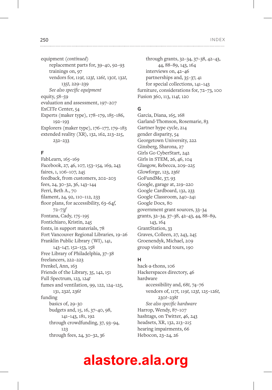equipment *(continued)* replacement parts for, 39–40, 92–93 trainings on, 97 vendors for, 119*t,* 123*t,* 126*t,* 130*t,* 132*t,* 135*t,* 229–239 *See also specific equipment* equity, 58–59 evaluation and assessment, 197–207 ExCITe Center, 54 Experts (maker type), 178–179, 185–186, 192–193 Explorers (maker type), 176–177, 179–183 extended reality (XR), 132, 162, 213–215, 232–233

#### **F**

FabLearn, 165–169 Facebook, 27, 46, 107, 153–154, 169, 243 faires, 1, 106–107, 245 feedback, from customers, 202–203 fees, 24, 30–32, 36, 143–144 Ferri, Beth A., 70 filament, 24, 92, 110–112, 233 floor plans, for accessibility, 63–64*f,* 72–73*f* Fontana, Cady, 175–195 Fontichiaro, Kristin, 245 fonts, in support materials, 78 Fort Vancouver Regional Libraries, 19–26 Franklin Public Library (WI), 141, 143–147, 152–153, 158 Free Library of Philadelphia, 37–38 freelancers, 222–223 Frenkel, Ann, 163 Friends of the Library, 35, 142, 151 Full Spectrum, 123, 124*t* fumes and ventilation, 99, 122, 124–125, 131, 232*t,* 236*t* funding basics of, 29–30 budgets and, 15, 16, 37–40, 98, 141–143, 181, 192 through crowdfunding, 37, 93–94, 123 through fees, 24, 30–32, 36

through grants, 32–34, 37–38, 42–43, 44, 88–89, 143, 164 interviews on, 42–46 partnerships and, 35–37, 41 for special collections, 141–143 furniture, considerations for, 72–73, 100 Fusion 360, 113, 114*t,* 120

#### **G**

Garcia, Diana, 165, 168 Garland-Thomson, Rosemarie, 83 Gartner hype cycle, 214 gender disparity, 54 Georgetown University, 222 Ginsberg, Sharona, 27 Girls Go CyberStart, 242 Girls in STEM, 26, 46, 104 Glasgow, Rebecca, 209–225 Glowforge, 123, 236*t* GoFundMe, 37, 93 Google, garage at, 219–220 Google Cardboard, 132, 233 Google Classroom, 240–241 Google Docs, 80 government grant sources, 33–34 grants, 32–34, 37–38, 42–43, 44, 88–89, 143, 164 GrantStation, 33 Graves, Colleen, 27, 243, 245 Groenendyk, Michael, 209 group visits and tours, 190

#### **H**

hack-a-thons, 106 Hackerspaces directory, 46 hardware accessibility and, 68*t,* 74–76 vendors of, 117*t,* 119*t,* 123*t,* 125–126*t,* 230*t*–238*t See also specific hardware* Harrop, Wendy, 87–107 hashtags, on Twitter, 46, 243 headsets, XR, 132, 213–215 hearing impairments, 66 Hebocon, 23–24, 26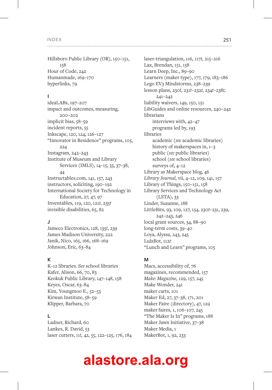#### **I**

ideaLABs, 197–207 impact and outcomes, measuring, 200–202 implicit bias, 58–59 incident reports, 55 Inkscape, 120, 124, 126–127 "Innovator in Residence" programs, 105, 224 Instagram, 242–243 Institute of Museum and Library Services (IMLS), 14–15, 33, 37–38, 44 Instructables.com, 141, 157, 243 instructors, soliciting, 190–192 International Society for Technology in Education, 27, 47, 97 Inventables, 119, 120, 121*t,* 235*t* invisible disabilities, 65, 82

#### **J**

Jameco Electronics, 128, 135*t,* 239 James Madison University, 222 Janik, Nico, 165, 166, 168–169 Johnson, Eric, 63–84

#### **K**

K–12 libraries. *See* school libraries Kafer, Alison, 66, 70, 83 Keokuk Public Library, 147–148, 158 Keyes, Oscar, 63–84 Kim, Youngmoo E., 52–53 Kirwan Institute, 58–59 Klipper, Barbara, 70

#### **L**

Ladner, Richard, 60 Lankes, R. David, 53 laser cutters, 11*t,* 42, 55, 122–125, 176, 184 laser-triangulation, 116, 117*t,* 215–216 Lax, Brendan, 151, 158 Learn Deep, Inc., 89–90 Learners (maker type), 177, 179, 183–186 Lego EV3 Mindstorms, 238–239 lesson plans, 230*t,* 231*t*–232*t,* 234*t*–238*t,* 241–242 liability waivers, 149, 150, 151 LibGuides and online resources, 240–242 librarians interviews with, 42–47 programs led by, 193 libraries academic (*see* academic libraries) history of makerspaces in, 1–3 public (*see* public libraries) school (*see* school libraries) surveys of, 4–12 Library as Makerspace blog, 46 *Library Journal,* vii, 4–12, 109, 141, 157 Library of Things, 150–151, 158 Library Services and Technology Act (LSTA), 33 Linder, Suzanne, 188 LittleBits, 93, 109, 127, 154, 230*t*–231, 239, 242–243, 246 local grant sources, 34, 88–90 long-term costs, 39–40 Loya, Alyssa, 243, 245 LulzBot, 112*t* "Lunch and Learn" programs, 105

#### **M**

Macs, accessibility of, 76 magazines, recommended, 157 *Make: Magazine,* 129, 157, 245 Make Wonder, 241 maker carts, 101 Maker Ed, 27, 37–38, 171, 201 Maker Faire (directory), 47, 129 maker faires, 1, 106–107, 245 "The Maker Is In" programs, 188 Maker Jawn Initiative, 37–38 Maker Media, 1 MakerBot, 1, 92, 233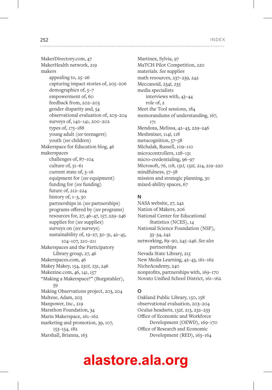MakerDirectory.com, 47 MakerHealth network, 219 makers appealing to, 25–26 capturing impact stories of, 205–206 demographics of, 5–7 empowerment of, 60 feedback from, 202–203 gender disparity and, 54 observational evaluation of, 203–204 surveys of, 140–141, 200–202 types of, 175–188 young adult (*see* teenagers) youth (*see* children) Makerspace for Education blog, 46 makerspaces challenges of, 87–104 culture of, 51–61 current state of, 3–16 equipment for (*see* equipment) funding for (*see* funding) future of, 212–224 history of, 1–3, 30 partnerships in (*see* partnerships) programs offered by (*see* programs) resources for, 27, 46–47, 157, 229–246 supplies for (*see* supplies) surveys on (*see* surveys) sustainability of, 19–27, 30–31, 42–45, 104–107, 210–211 Makerspaces and the Participatory Library group, 27, 46 Makerspaces.com, 46 Makey Makey, 154, 230*t,* 231, 246 Makezine.com, 46, 141, 157 "Making a Makerspace?" (Burgstahler), 59 Making Observations project, 203, 204 Maltese, Adam, 203 Manpower, Inc., 219 Marathon Foundation, 34 Marin Makerspace, 161–162 marketing and promotion, 39, 107, 153–154, 182 Marshall, Brianna, 163

Martinez, Sylvia, 97 MaTCH Pilot Competition, 220 materials. *See* supplies math resources, 237–239, 242 Meccanoid, 234*t,* 235 media specialists interviews with, 43–44 role of, 2 Meet the Tool sessions, 184 memorandums of understanding, 167, 171 Mendoza, Melissa, 42–43, 229–246 Meshmixer, 114*t,* 118 metacognition, 57–58 Michalak, Russell, 109–110 microcontrollers, 128–131 micro-credentialing, 96–97 Microsoft, 76, 118, 131*t,* 132*t,* 214, 219–220 mindfulness, 57–58 mission and strategic planning, 30 mixed-ability spaces, 67

#### **N**

NASA website, 27, 242 Nation of Makers, 206 National Center for Educational Statistics (NCES), 14 National Science Foundation (NSF), 33–34, 242 networking, 89–90, 245–246. *See also* partnerships Nevada State Library, 215 New Media Learning, 42–43, 161–162 NicheAcademy, 240 nonprofits, partnerships with, 169–170 Novato Unified School District, 161–162

#### **O**

Oakland Public Library, 150, 158 observational evaluation, 203–204 Oculus headsets, 132*t,* 213, 232–233 Office of Economic and Workforce Development (OEWD), 169–170 Office of Research and Economic Development (RED), 163–164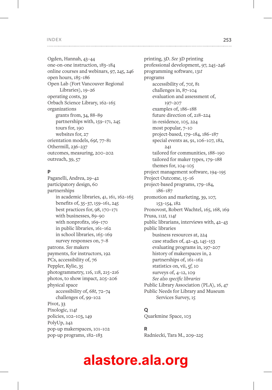Ogden, Hannah, 43–44 one-on-one instruction, 183–184 online courses and webinars, 97, 245, 246 open hours, 185–186 Open Lab (Fort Vancouver Regional Libraries), 19–26 operating costs, 39 Orbach Science Library, 162–165 organizations grants from, 34, 88–89 partnerships with, 159–171, 245 tours for, 190 websites for, 27 orientation models, 69*t,* 77–81 Othermill, 236–237 outcomes, measuring, 200–202 outreach, 39, 57

#### **P**

Paganelli, Andrea, 29–42 participatory design, 60 partnerships in academic libraries, 41, 161, 162–165 benefits of, 35–37, 159–161, 245 best practices for, 98, 170–171 with businesses, 89–90 with nonprofits, 169–170 in public libraries, 161–162 in school libraries, 165–169 survey responses on, 7–8 patrons. *See* makers payments, for instructors, 192 PCs, accessibility of, 76 Peppler, Kylie, 35 photogrammetry, 116, 118, 215–216 photos, to show impact, 205–206 physical space accessibility of, 68*t,* 72–74 challenges of, 99–102 Pivot, 33 Pixologic, 114*t* policies, 102–103, 149 PolyUp, 242 pop-up makerspaces, 101–102 pop-up programs, 182–183

printing, 3D. *See* 3D printing professional development, 97, 245–246 programming software, 131*t* programs accessibility of, 70*t,* 81 challenges in, 87–104 evaluation and assessment of, 197–207 examples of, 186–188 future direction of, 218–224 in-residence, 105, 224 most popular, 7–10 project-based, 179–184, 186–187 special events as, 91, 106–107, 182, 241 tailored for communities, 188–190 tailored for maker types, 179–188 themes for, 104–105 project management software, 194–195 Project Outcome, 15–16 project-based programs, 179–184, 186–187 promotion and marketing, 39, 107, 153–154, 182 Pronovost, Robert Wachtel, 165, 168, 169 Prusa, 112*t,* 114*t* public librarians, interviews with, 42–43 public libraries business resources at, 224 case studies of, 42–43, 145–153 evaluating programs in, 197–207 history of makerspaces in, 2 partnerships of, 161–162 statistics on, vii, 5*f,* 10 surveys of, 4–12, 109 *See also specific libraries* Public Library Association (PLA), 16, 47 Public Needs for Library and Museum Services Survey, 15

#### **Q**

Quarkmine Space, 103

#### **R**

Radniecki, Tara M., 209–225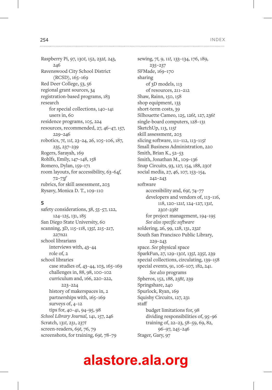Raspberry Pi, 97, 130*t,* 152, 232*t,* 243, 246 Ravenswood City School District (RCSD), 165–169 Red Deer College, 53, 56 regional grant sources, 34 registration-based programs, 183 research for special collections, 140–141 users in, 60 residence programs, 105, 224 resources, recommended, 27, 46–47, 157, 229–246 robotics, 7*t,* 11*t,* 23–24, 26, 105–106, 187, 235, 237–239 Rogers, Sarayah, 169 Rohlfs, Emily, 147–148, 158 Romero, Dylan, 159–171 room layouts, for accessibility, 63–64*f,* 72–73*f* rubrics, for skill assessment, 203 Rysavy, Monica D. T., 109–110

#### **S**

safety considerations, 38, 55–57, 122, 124–125, 131, 185 San Diego State University, 60 scanning, 3D, 115–118, 135*t,* 215–217, 227n21 school librarians interviews with, 43–44 role of, 2 school libraries case studies of, 43–44, 103, 165–169 challenges in, 88, 98, 100–102 curriculum and, 166, 220–222, 223–224 history of makerspaces in, 2 partnerships with, 165–169 surveys of, 4–12 tips for, 40–41, 94–95, 98 *School Library Journal,* 141, 157, 246 Scratch, 131*t,* 231, 237*t* screen-readers, 69*t,* 76, 79 screenshots, for training, 69*t,* 78–79

sewing, 7*t,* 9, 11*t,* 133–134, 176, 189, 235–237 SFMade, 169–170 sharing of 3D models, 113 of resources, 211–212 Shaw, Rainn, 150, 158 shop equipment, 133 short-term costs, 39 Silhouette Cameo, 125, 126*t,* 127, 236*t* single-board computers, 128–131 SketchUp, 113, 115*t* skill assessment, 203 slicing software, 111–112, 113–115*t* Small Business Administration, 220 Smith, Brian K., 52–53 Smith, Jonathan M., 109–136 Snap Circuits, 93, 127, 154, 188, 230*t* social media, 27, 46, 107, 153–154, 242–243 software accessibility and, 69*t,* 74–77 developers and vendors of, 113–116, 118, 120–121*t,* 124–127, 131*t,* 230*t*–238*t* for project management, 194–195 *See also specific software* soldering, 26, 99, 128, 131, 232*t* South San Francisco Public Library, 229–243 space. *See* physical space SparkFun, 27, 129–130*t,* 135*t,* 235*t,* 239 special collections, circulating, 139–158 special events, 91, 106–107, 182, 241. *See also* programs Spheros, 152, 188, 238*t,* 239 Springshare, 240 Spurlock, Ryan, 169 Squishy Circuits, 127, 231 staff budget limitations for, 98 dividing responsibilities of, 95–96 training of, 22–23, 58–59, 69, 82, 96–97, 245–246 Stager, Gary, 97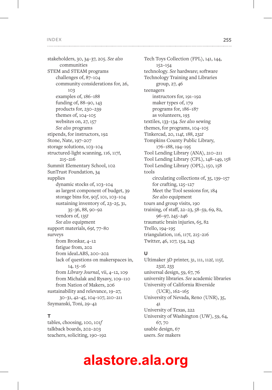........................

stakeholders, 30, 34–37, 205. *See also* communities STEM and STEAM programs challenges of, 87–104 community considerations for, 26, 103 examples of, 186–188 funding of, 88–90, 143 products for, 230–239 themes of, 104–105 websites on, 27, 157 *See also* programs stipends, for instructors, 192 Stone, Nate, 197–207 storage solutions, 103–104 structured-light scanning, 116, 117*t,* 215–216 Summit Elementary School, 102 SunTrust Foundation, 34 supplies dynamic stocks of, 103–104 as largest component of budget, 39 storage bins for, 90*f,* 101, 103–104 sustaining inventory of, 23–25, 31, 35–36, 88, 90–92 vendors of, 135*t See also* equipment support materials, 69*t,* 77–80 surveys from Bronkar, 4–12 fatigue from, 202 from ideaLABS, 200–202 lack of questions on makerspaces in, 14, 15–16 from *Library Journal,* vii, 4–12, 109 from Michalak and Rysavy, 109–110 from Nation of Makers, 206 sustainability and relevance, 19–27, 30–31, 42–45, 104–107, 210–211 Szymanski, Toni, 29–42

#### **T**

tables, choosing, 100, 101*f* talkback boards, 202–203 teachers, soliciting, 190–192 Tech Toys Collection (FPL), 141, 144, 152–154 technology. *See* hardware; software Technology Training and Libraries group, 27, 46 teenagers instructors for, 191–192 maker types of, 179 programs for, 186–187 as volunteers, 193 textiles, 133–134. *See also* sewing themes, for programs, 104–105 Tinkercad, 20, 114*t,* 188, 232*t* Tompkins County Public Library, 176–188, 194–195 Tool Lending Library (ANA), 210–211 Tool Lending Library (CPL), 148–149, 158 Tool Lending Library (OPL), 150, 158 tools circulating collections of, 35, 139–157 for crafting, 125–127 Meet the Tool sessions for, 184 *See also* equipment tours and group visits, 190 training, of staff, 22–23, 58–59, 69, 82, 96–97, 245–246 traumatic brain injuries, 65, 82 Trello, 194–195 triangulation, 116, 117*t,* 215–216 Twitter, 46, 107, 154, 243

#### **U**

Ultimaker 3D printer, 31, 111, 112*t,* 115*t,* 232*t,* 233 universal design, 59, 67, 76 university libraries. *See* academic libraries University of California Riverside (UCR), 162–165 University of Nevada, Reno (UNR), 35, 41 University of Texas, 222 University of Washington (UW), 59, 64, 67, 70 usable design, 67 users. *See* makers